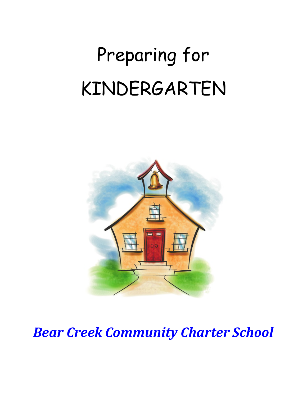# Preparing for KINDERGARTEN



*Bear Creek Community Charter School*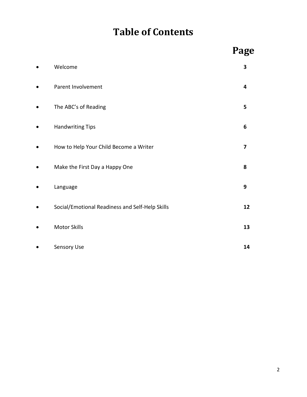## **Table of Contents**

|                                                 | Page |
|-------------------------------------------------|------|
| Welcome                                         | 3    |
| Parent Involvement                              | 4    |
| The ABC's of Reading                            | 5    |
| <b>Handwriting Tips</b>                         | 6    |
| How to Help Your Child Become a Writer          | 7    |
| Make the First Day a Happy One                  | 8    |
| Language                                        | 9    |
| Social/Emotional Readiness and Self-Help Skills | 12   |
| <b>Motor Skills</b>                             | 13   |
| Sensory Use                                     | 14   |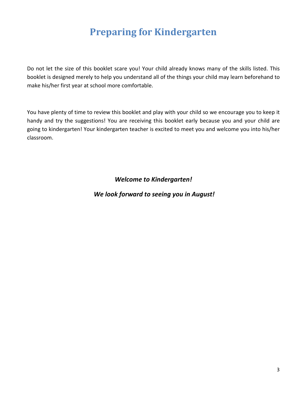## **Preparing for Kindergarten**

Do not let the size of this booklet scare you! Your child already knows many of the skills listed. This booklet is designed merely to help you understand all of the things your child may learn beforehand to make his/her first year at school more comfortable.

You have plenty of time to review this booklet and play with your child so we encourage you to keep it handy and try the suggestions! You are receiving this booklet early because you and your child are going to kindergarten! Your kindergarten teacher is excited to meet you and welcome you into his/her classroom.

*Welcome to Kindergarten!*

#### *We look forward to seeing you in August!*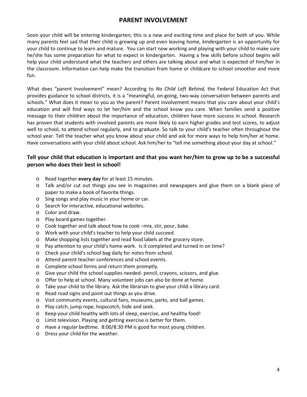#### **PARENT INVOLVEMENT**

Soon your child will be entering kindergarten; this is a new and exciting time and place for both of you. While many parents feel sad that their child is growing up and even leaving home, kindergarten is an opportunity for your child to continue to learn and mature. You can start now working and playing with your child to make sure he/she has some preparation for what to expect in kindergarten. Having a few skills before school begins will help your child understand what the teachers and others are talking about and what is expected of him/her in the classroom. Information can help make the transition from home or childcare to school smoother and more fun.

What does "parent Involvement" mean? According to *No Child Left Behind,* the Federal Education Act that provides guidance to school districts, it is a "meaningful, on-going, two-way conversation between parents and schools." What does it mean to you as the parent? Parent involvement means that you care about your child's education and will find ways to let her/him and the school know you care. When families send a positive message to their children about the importance of education, children have more success in school. Research has proven that students with involved parents are more likely to earn higher grades and test scores, to adjust well to school, to attend school regularly, and to graduate. So talk to your child's teacher often throughout the school year. Tell the teacher what you know about your child and ask for more ways to help him/her at home. Have conversations with your child about school. Ask him/her to "tell me something about your day at school."

#### **Tell your child that education is important and that you want her/him to grow up to be a successful person who does their best in school!**

- o Read together **every day** for at least 15 minutes.
- o Talk and/or cut out things you see in magazines and newspapers and glue them on a blank piece of paper to make a book of favorite things.
- o Sing songs and play music in your home or car.
- o Search for interactive, educational websites.
- o Color and draw.
- o Play board games together.
- o Cook together and talk about how to cook –mix, stir, pour, bake.
- o Work with your child's teacher to help your child succeed.
- o Make shopping lists together and read food labels at the grocery store.
- o Pay attention to your child's home work. Is it completed and turned in on time?
- o Check your child's school bag daily for notes from school.
- o Attend parent teacher conferences and school events.
- o Complete school forms and return them promptly.
- o Give your child the school supplies needed- pencil, crayons, scissors, and glue.
- o Offer to help at school. Many volunteer jobs can also be done at home.
- o Take your child to the library. Ask the librarian to give your child a library card.
- o Read road signs and point out things as you drive.
- o Visit community events, cultural fairs, museums, parks, and ball games.
- o Play catch, jump rope, hopscotch, hide and seek.
- o Keep your child healthy with lots of sleep, exercise, and healthy food!
- o Limit television. Playing and getting exercise is better for them.
- o Have a regular bedtime. 8:00/8:30 PM is good for most young children.
- o Dress your child for the weather.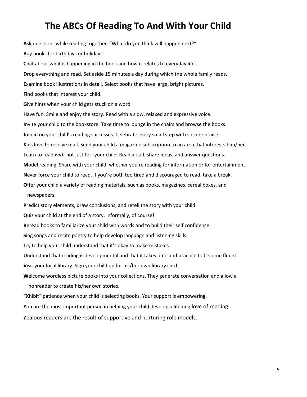### **The ABCs Of Reading To And With Your Child**

**A**sk questions while reading together. "What do you think will happen next?" **B**uy books for birthdays or holidays. **C**hat about what is happening in the book and how it relates to everyday life. **D**rop everything and read. Set aside 15 minutes a day during which the whole family reads. **E**xamine book illustrations in detail. Select books that have large, bright pictures. **F**ind books that interest your child. **G**ive hints when your child gets stuck on a word. **H**ave fun. Smile and enjoy the story. Read with a slow, relaxed and expressive voice. **I**nvite your child to the bookstore. Take time to lounge in the chairs and browse the books. **J**oin in on your child's reading successes. Celebrate every small step with sincere praise. **K**ids love to receive mail. Send your child a magazine subscription to an area that interests him/her. **L**earn to read *with*-not just to—your child. Read aloud, share ideas, and answer questions. **M**odel reading. Share with your child, whether you're reading for information or for entertainment. **N**ever force your child to read. If you're both too tired and discouraged to read, take a break. **O**ffer your child a variety of reading materials, such as books, magazines, cereal boxes, and newspapers. **P**redict story elements, draw conclusions, and retell the story with your child. **Q**uiz your child at the end of a story. Informally, of course! **R**eread books to familiarize your child with words and to build their self confidence. **S**ing songs and recite poetry to help develop language and listening skills. **T**ry to help your child understand that it's okay to make mistakes. **U**nderstand that reading is developmental and that it takes time and practice to become fluent. **V**isit your local library. Sign your child up for his/her own library card. **W**elcome wordless picture books into your collections. They generate conversation and allow a nonreader to create his/her own stories.

**"X**hibit" patience when your child is selecting books. Your support is empowering.

**Y**ou are the most important person in helping your child develop a lifelong love of reading.

**Z**ealous readers are the result of supportive and nurturing role models.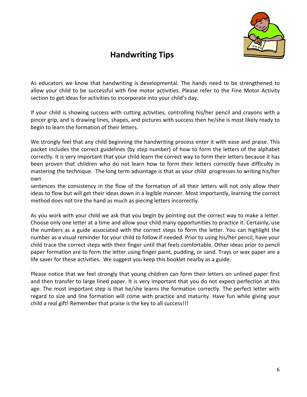

#### **Handwriting Tips**

As educators we know that handwriting is developmental. The hands need to be strengthened to allow your child to be successful with fine motor activities. Please refer to the Fine Motor Activity section to get ideas for activities to incorporate into your child's day.

If your child is showing success with cutting activities, controlling his/her pencil and crayons with a pincer grip, and is drawing lines, shapes, and pictures with success then he/she is most likely ready to begin to learn the formation of their letters.

We strongly feel that any child beginning the handwriting process enter it with ease and praise. This packet includes the correct guidelines (by step number) of how to form the letters of the alphabet correctly. It is very important that your child learn the correct way to form their letters because it has been proven that children who do not learn how to form their letters correctly have difficulty in mastering the technique. The long term advantage is that as your child progresses to writing his/her own

sentences the consistency in the flow of the formation of all their letters will not only allow their ideas to flow but will get their ideas down in a legible manner. Most importantly, learning the correct method does not tire the hand as much as piecing letters incorrectly.

As you work with your child we ask that you begin by pointing out the correct way to make a letter. Choose only one letter at a time and allow your child many opportunities to practice it. Certainly, use the numbers as a guide associated with the correct steps to form the letter. You can highlight the number as a visual reminder for your child to follow if needed. Prior to using his/her pencil, have your child trace the correct steps with their finger until that feels comfortable. Other ideas prior to pencil paper formation are to form the letter using finger paint, pudding, or sand. Trays or wax paper are a life saver for these activities. We suggest you keep this booklet nearby as a guide.

Please notice that we feel strongly that young children can form their letters on unlined paper first and then transfer to large lined paper. It is very important that you do not expect perfection at this age. The most important step is that he/she learns the formation correctly. The perfect letter with regard to size and line formation will come with practice and maturity. Have fun while giving your child a real gift! Remember that praise is the key to all success!!!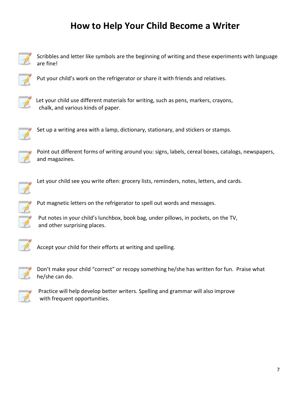## **How to Help Your Child Become a Writer**



Scribbles and letter like symbols are the beginning of writing and these experiments with language are fine!



Put your child's work on the refrigerator or share it with friends and relatives.



Let your child use different materials for writing, such as pens, markers, crayons, chalk, and various kinds of paper.



Set up a writing area with a lamp, dictionary, stationary, and stickers or stamps.



Point out different forms of writing around you: signs, labels, cereal boxes, catalogs, newspapers, and magazines.



Let your child see you write often: grocery lists, reminders, notes, letters, and cards.



Put magnetic letters on the refrigerator to spell out words and messages.

Put notes in your child's lunchbox, book bag, under pillows, in pockets, on the TV, and other surprising places.



Accept your child for their efforts at writing and spelling.



Don't make your child "correct" or recopy something he/she has written for fun. Praise what he/she can do.



Practice will help develop better writers. Spelling and grammar will also improve with frequent opportunities.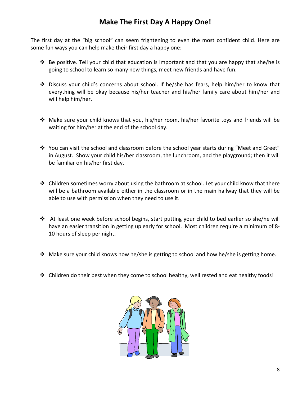#### **Make The First Day A Happy One!**

The first day at the "big school" can seem frightening to even the most confident child. Here are some fun ways you can help make their first day a happy one:

- $\clubsuit$  Be positive. Tell your child that education is important and that you are happy that she/he is going to school to learn so many new things, meet new friends and have fun.
- Discuss your child's concerns about school. If he/she has fears, help him/her to know that everything will be okay because his/her teacher and his/her family care about him/her and will help him/her.
- Make sure your child knows that you, his/her room, his/her favorite toys and friends will be waiting for him/her at the end of the school day.
- You can visit the school and classroom before the school year starts during "Meet and Greet" in August. Show your child his/her classroom, the lunchroom, and the playground; then it will be familiar on his/her first day.
- $\cdot \cdot$  Children sometimes worry about using the bathroom at school. Let your child know that there will be a bathroom available either in the classroom or in the main hallway that they will be able to use with permission when they need to use it.
- $\div$  At least one week before school begins, start putting your child to bed earlier so she/he will have an easier transition in getting up early for school. Most children require a minimum of 8- 10 hours of sleep per night.
- $\cdot \cdot$  Make sure your child knows how he/she is getting to school and how he/she is getting home.
- $\div$  Children do their best when they come to school healthy, well rested and eat healthy foods!

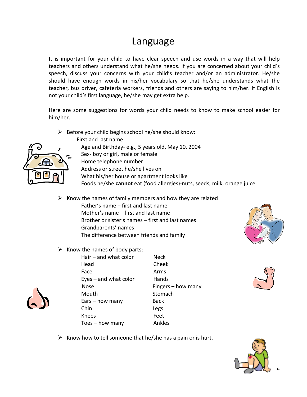## Language

It is important for your child to have clear speech and use words in a way that will help teachers and others understand what he/she needs. If you are concerned about your child's speech, discuss your concerns with your child's teacher and/or an administrator. He/she should have enough words in his/her vocabulary so that he/she understands what the teacher, bus driver, cafeteria workers, friends and others are saying to him/her. If English is not your child's first language, he/she may get extra help.

Here are some suggestions for words your child needs to know to make school easier for him/her.

 $\triangleright$  Before your child begins school he/she should know:



- First and last name Age and Birthday- e.g., 5 years old, May 10, 2004 Sex- boy or girl, male or female Home telephone number Address or street he/she lives on What his/her house or apartment looks like
- Foods he/she **cannot** eat (food allergies)-nuts, seeds, milk, orange juice
- $\triangleright$  Know the names of family members and how they are related
	- Father's name first and last name Mother's name – first and last name Brother or sister's names – first and last names Grandparents' names The difference between friends and family
- $\triangleright$  Know the names of body parts:



 $Hair - and what color$  Neck Head Cheek Face Arms  $Eves - and what color$  Hands Nose Fingers – how many Mouth Stomach Ears – how many Back Chin Legs Knees Feet Toes – how many Ankles





 $\triangleright$  Know how to tell someone that he/she has a pain or is hurt.

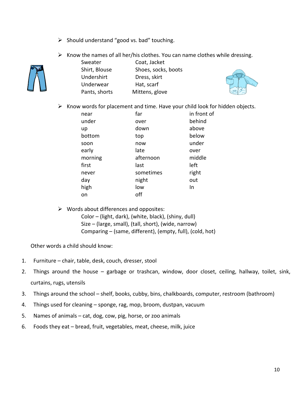- $\triangleright$  Should understand "good vs. bad" touching.
- $\triangleright$  Know the names of all her/his clothes. You can name clothes while dressing.



Sweater Coat, Jacket Shirt, Blouse Shoes, socks, boots Undershirt Dress, skirt Underwear Hat, scarf Pants, shorts Mittens, glove



 $\triangleright$  Know words for placement and time. Have your child look for hidden objects.

| far       | in front of  |
|-----------|--------------|
|           | behind       |
|           | above        |
| top       | below        |
| now       | under        |
| late      | over         |
| afternoon | middle       |
| last      | left         |
| sometimes | right        |
| night     | out          |
| low       | In           |
| off       |              |
|           | over<br>down |

 $\triangleright$  Words about differences and opposites: Color – (light, dark), (white, black), (shiny, dull) Size – (large, small), (tall, short), (wide, narrow) Comparing – (same, different), (empty, full), (cold, hot)

Other words a child should know:

- 1. Furniture chair, table, desk, couch, dresser, stool
- 2. Things around the house garbage or trashcan, window, door closet, ceiling, hallway, toilet, sink, curtains, rugs, utensils
- 3. Things around the school shelf, books, cubby, bins, chalkboards, computer, restroom (bathroom)
- 4. Things used for cleaning sponge, rag, mop, broom, dustpan, vacuum
- 5. Names of animals cat, dog, cow, pig, horse, or zoo animals
- 6. Foods they eat bread, fruit, vegetables, meat, cheese, milk, juice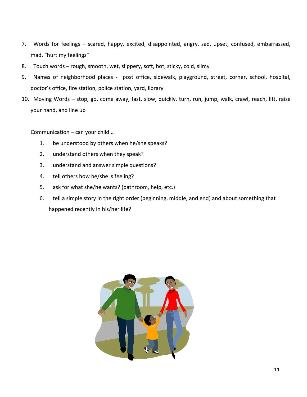- 7. Words for feelings scared, happy, excited, disappointed, angry, sad, upset, confused, embarrassed, mad, "hurt my feelings"
- 8. Touch words rough, smooth, wet, slippery, soft, hot, sticky, cold, slimy
- 9. Names of neighborhood places post office, sidewalk, playground, street, corner, school, hospital, doctor's office, fire station, police station, yard, library
- 10. Moving Words stop, go, come away, fast, slow, quickly, turn, run, jump, walk, crawl, reach, lift, raise your hand, and line up

Communication – can your child …

- 1. be understood by others when he/she speaks?
- 2. understand others when they speak?
- 3. understand and answer simple questions?
- 4. tell others how he/she is feeling?
- 5. ask for what she/he wants? (bathroom, help, etc.)
- 6. tell a simple story in the right order (beginning, middle, and end) and about something that happened recently in his/her life?

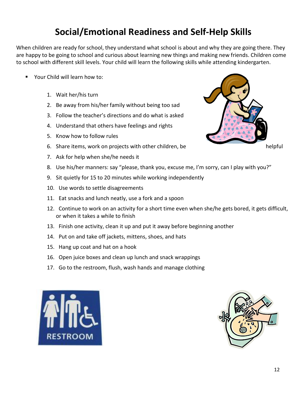## **Social/Emotional Readiness and Self-Help Skills**

When children are ready for school, they understand what school is about and why they are going there. They are happy to be going to school and curious about learning new things and making new friends. Children come to school with different skill levels. Your child will learn the following skills while attending kindergarten.

- Your Child will learn how to:
	- 1. Wait her/his turn
	- 2. Be away from his/her family without being too sad
	- 3. Follow the teacher's directions and do what is asked
	- 4. Understand that others have feelings and rights
	- 5. Know how to follow rules
	- 6. Share items, work on projects with other children, be helpful helpful
	- 7. Ask for help when she/he needs it
	- 8. Use his/her manners: say "please, thank you, excuse me, I'm sorry, can I play with you?"
	- 9. Sit quietly for 15 to 20 minutes while working independently
	- 10. Use words to settle disagreements
	- 11. Eat snacks and lunch neatly, use a fork and a spoon
	- 12. Continue to work on an activity for a short time even when she/he gets bored, it gets difficult, or when it takes a while to finish
	- 13. Finish one activity, clean it up and put it away before beginning another
	- 14. Put on and take off jackets, mittens, shoes, and hats
	- 15. Hang up coat and hat on a hook
	- 16. Open juice boxes and clean up lunch and snack wrappings
	- 17. Go to the restroom, flush, wash hands and manage clothing





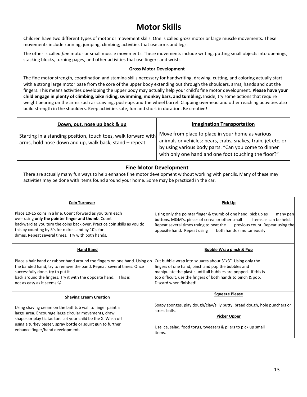#### **Motor Skills**

Children have two different types of motor or movement skills. One is called *gross* motor or large muscle movements. These movements include running, jumping, climbing; activities that use arms and legs.

The other is called *fine* motor or small muscle movements. These movements include writing, putting small objects into openings, stacking blocks, turning pages, and other activities that use fingers and wrists.

#### **Gross Motor Development**

The fine motor strength, coordination and stamina skills necessary for handwriting, drawing, cutting, and coloring actually start with a strong large motor base from the core of the upper body extending out through the shoulders, arms, hands and out the fingers. This means activities developing the upper body may actually help your child's fine motor development. **Please have your child engage in plenty of climbing, bike riding, swimming, monkey bars, and tumbling.** Inside, try some actions that require weight bearing on the arms such as crawling, push-ups and the wheel barrel. Clapping overhead and other reaching activities also build strength in the shoulders. Keep activities safe, fun and short in duration. Be creative!

| Down, out, nose up back & up                                                                                              | <b>Imagination Transportation</b>                                                                                                                                                                                                 |
|---------------------------------------------------------------------------------------------------------------------------|-----------------------------------------------------------------------------------------------------------------------------------------------------------------------------------------------------------------------------------|
| Starting in a standing position, touch toes, walk forward with<br>arms, hold nose down and up, walk back, stand – repeat. | Move from place to place in your home as various<br>animals or vehicles: bears, crabs, snakes, train, jet etc. or<br>by using various body parts: "Can you come to dinner<br>with only one hand and one foot touching the floor?" |

#### **Fine Motor Development**

There are actually many fun ways to help enhance fine motor development without working with pencils. Many of these may activities may be done with items found around your home. Some may be practiced in the car.

| <b>Coin Turnover</b>                                                                                                                                                                                                                                                                                       | <b>Pick Up</b>                                                                                                                                                                                                                                                                                    |
|------------------------------------------------------------------------------------------------------------------------------------------------------------------------------------------------------------------------------------------------------------------------------------------------------------|---------------------------------------------------------------------------------------------------------------------------------------------------------------------------------------------------------------------------------------------------------------------------------------------------|
| Place 10-15 coins in a line. Count forward as you turn each<br>over using only the pointer finger and thumb. Count<br>backward as you turn the coins back over. Practice coin skills as you do<br>this by counting by 5's for nickels and by 10's for<br>dimes. Repeat several times. Try with both hands. | Using only the pointer finger & thumb of one hand, pick up as<br>many pen<br>buttons, M&M's, pieces of cereal or other small<br>Items as can be held.<br>Repeat several times trying to beat the<br>previous count. Repeat using the<br>both hands simultaneously.<br>opposite hand. Repeat using |
| <b>Hand Band</b>                                                                                                                                                                                                                                                                                           | <b>Bubble Wrap pinch &amp; Pop</b>                                                                                                                                                                                                                                                                |
| Place a hair band or rubber band around the fingers on one hand. Using on<br>the banded hand, try to remove the band. Repeat several times. Once<br>successfully done, try to put it<br>back around the fingers. Try it with the opposite hand. This is<br>not as easy as it seems $\odot$                 | Cut bubble wrap into squares about 3"x3". Using only the<br>fingers of one hand, pinch and pop the bubbles and<br>manipulate the plastic until all bubbles are popped. If this is<br>too difficult, use the fingers of both hands to pinch & pop.<br>Discard when finished!                       |
| <b>Shaving Cream Creation</b>                                                                                                                                                                                                                                                                              | <b>Squeeze Please</b>                                                                                                                                                                                                                                                                             |
| Using shaving cream on the bathtub wall to finger paint a<br>large area. Encourage large circular movements, draw<br>shapes or play tic tac toe. Let your child be the X. Wash off<br>using a turkey baster, spray bottle or squirt gun to further                                                         | Soapy sponges, play dough/clay/silly putty, bread dough, hole punchers or<br>stress balls.<br><b>Picker Upper</b>                                                                                                                                                                                 |
| enhance finger/hand development.                                                                                                                                                                                                                                                                           | Use ice, salad, food tongs, tweezers & pliers to pick up small<br>items.                                                                                                                                                                                                                          |